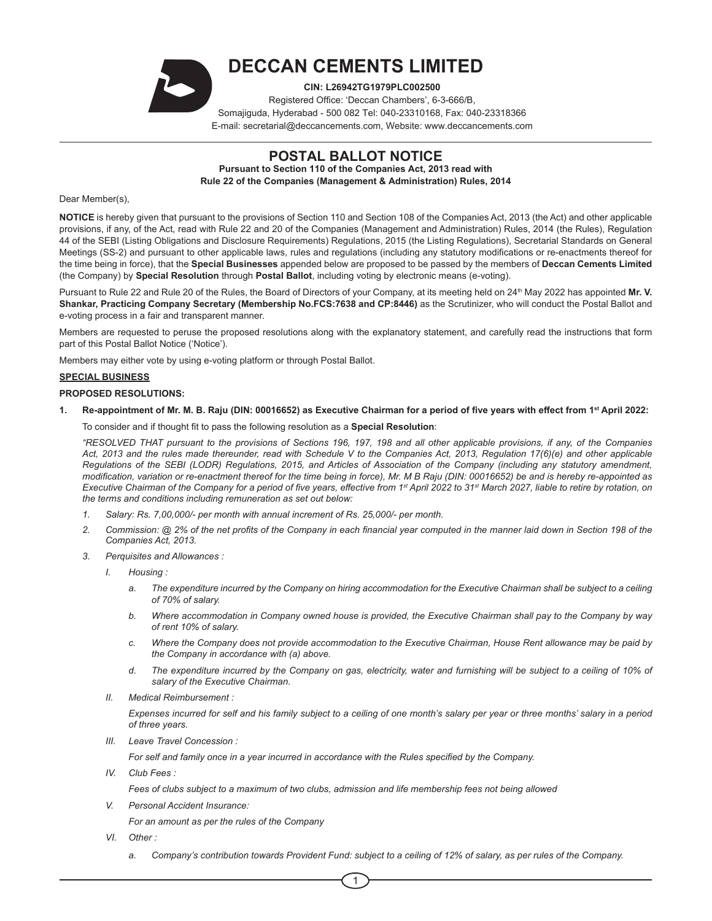

# **DECCAN CEMENTS LIMITED**

**CIN: L26942TG1979PLC002500**

Registered Office: 'Deccan Chambers', 6-3-666/B, Somajiguda, Hyderabad - 500 082 Tel: 040-23310168, Fax: 040-23318366 E-mail: secretarial@deccancements.com, Website: www.deccancements.com

## **POSTAL BALLOT NOTICE**

**Pursuant to Section 110 of the Companies Act, 2013 read with Rule 22 of the Companies (Management & Administration) Rules, 2014**

## Dear Member(s),

**NOTICE** is hereby given that pursuant to the provisions of Section 110 and Section 108 of the Companies Act, 2013 (the Act) and other applicable provisions, if any, of the Act, read with Rule 22 and 20 of the Companies (Management and Administration) Rules, 2014 (the Rules), Regulation 44 of the SEBI (Listing Obligations and Disclosure Requirements) Regulations, 2015 (the Listing Regulations), Secretarial Standards on General Meetings (SS-2) and pursuant to other applicable laws, rules and regulations (including any statutory modifications or re-enactments thereof for the time being in force), that the **Special Businesses** appended below are proposed to be passed by the members of **Deccan Cements Limited** (the Company) by **Special Resolution** through **Postal Ballot**, including voting by electronic means (e-voting).

Pursuant to Rule 22 and Rule 20 of the Rules, the Board of Directors of your Company, at its meeting held on 24<sup>th</sup> May 2022 has appointed Mr. V. **Shankar, Practicing Company Secretary (Membership No.FCS:7638 and CP:8446)** as the Scrutinizer, who will conduct the Postal Ballot and e-voting process in a fair and transparent manner.

Members are requested to peruse the proposed resolutions along with the explanatory statement, and carefully read the instructions that form part of this Postal Ballot Notice ('Notice').

Members may either vote by using e-voting platform or through Postal Ballot.

## **SPECIAL BUSINESS**

## **PROPOSED RESOLUTIONS:**

1. Re-appointment of Mr. M. B. Raju (DIN: 00016652) as Executive Chairman for a period of five years with effect from 1<sup>st</sup> April 2022:

To consider and if thought fit to pass the following resolution as a **Special Resolution**:

*"RESOLVED THAT pursuant to the provisions of Sections 196, 197, 198 and all other applicable provisions, if any, of the Companies Act, 2013 and the rules made thereunder, read with Schedule V to the Companies Act, 2013, Regulation 17(6)(e) and other applicable Regulations of the SEBI (LODR) Regulations, 2015, and Articles of Association of the Company (including any statutory amendment, modification, variation or re-enactment thereof for the time being in force), Mr. M B Raju (DIN: 00016652) be and is hereby re-appointed as Executive Chairman of the Company for a period of five years, effective from 1st April 2022 to 31st March 2027, liable to retire by rotation, on the terms and conditions including remuneration as set out below:*

- *1. Salary: Rs. 7,00,000/- per month with annual increment of Rs. 25,000/- per month.*
- *2. Commission: @ 2% of the net profits of the Company in each financial year computed in the manner laid down in Section 198 of the Companies Act, 2013.*
- *3. Perquisites and Allowances :*
	- *I. Housing :*
		- *a. The expenditure incurred by the Company on hiring accommodation for the Executive Chairman shall be subject to a ceiling of 70% of salary.*
		- *b. Where accommodation in Company owned house is provided, the Executive Chairman shall pay to the Company by way of rent 10% of salary.*
		- *c. Where the Company does not provide accommodation to the Executive Chairman, House Rent allowance may be paid by the Company in accordance with (a) above.*
		- *d. The expenditure incurred by the Company on gas, electricity, water and furnishing will be subject to a ceiling of 10% of salary of the Executive Chairman.*
	- *II. Medical Reimbursement :*

*Expenses incurred for self and his family subject to a ceiling of one month's salary per year or three months' salary in a period of three years.*

*III. Leave Travel Concession :*

*For self and family once in a year incurred in accordance with the Rules specified by the Company.*

*IV. Club Fees :*

*Fees of clubs subject to a maximum of two clubs, admission and life membership fees not being allowed*

*V. Personal Accident Insurance:*

*For an amount as per the rules of the Company*

- *VI. Other :*
	- *a. Company's contribution towards Provident Fund: subject to a ceiling of 12% of salary, as per rules of the Company.*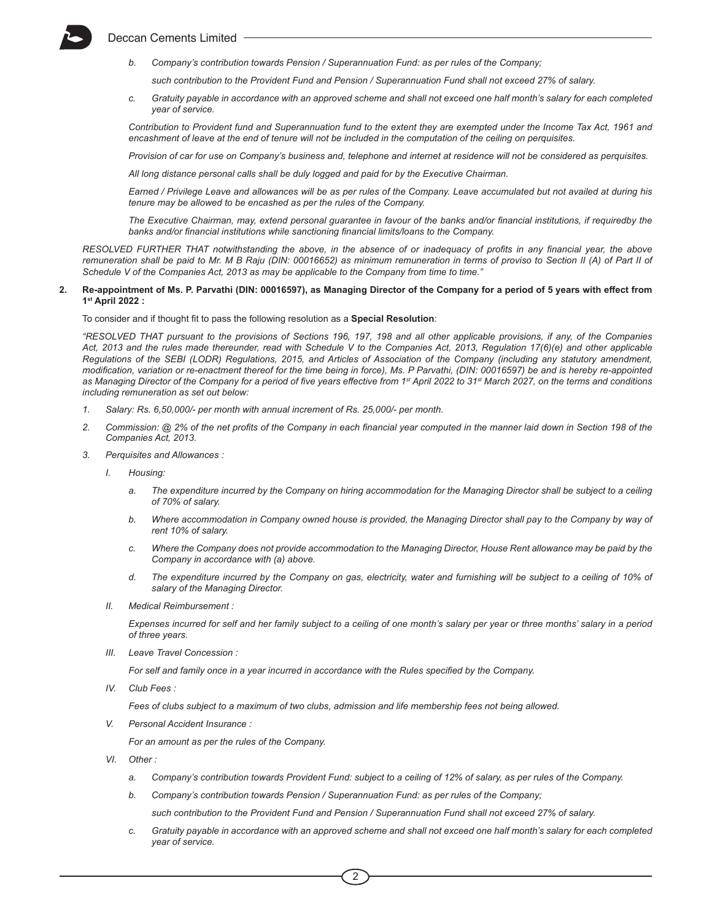

*b. Company's contribution towards Pension / Superannuation Fund: as per rules of the Company;* 

*such contribution to the Provident Fund and Pension / Superannuation Fund shall not exceed 27% of salary.*

*c. Gratuity payable in accordance with an approved scheme and shall not exceed one half month's salary for each completed year of service.*

*Contribution to Provident fund and Superannuation fund to the extent they are exempted under the Income Tax Act, 1961 and encashment of leave at the end of tenure will not be included in the computation of the ceiling on perquisites.*

*Provision of car for use on Company's business and, telephone and internet at residence will not be considered as perquisites.* 

*All long distance personal calls shall be duly logged and paid for by the Executive Chairman.* 

*Earned / Privilege Leave and allowances will be as per rules of the Company. Leave accumulated but not availed at during his tenure may be allowed to be encashed as per the rules of the Company.*

*The Executive Chairman, may, extend personal guarantee in favour of the banks and/or financial institutions, if requiredby the banks and/or financial institutions while sanctioning financial limits/loans to the Company.*

*RESOLVED FURTHER THAT notwithstanding the above, in the absence of or inadequacy of profits in any financial year, the above remuneration shall be paid to Mr. M B Raju (DIN: 00016652) as minimum remuneration in terms of proviso to Section II (A) of Part II of Schedule V of the Companies Act, 2013 as may be applicable to the Company from time to time."*

#### 2. Re-appointment of Ms. P. Parvathi (DIN: 00016597), as Managing Director of the Company for a period of 5 years with effect from **1st April 2022 :**

To consider and if thought fit to pass the following resolution as a **Special Resolution**:

*"RESOLVED THAT pursuant to the provisions of Sections 196, 197, 198 and all other applicable provisions, if any, of the Companies Act, 2013 and the rules made thereunder, read with Schedule V to the Companies Act, 2013, Regulation 17(6)(e) and other applicable Regulations of the SEBI (LODR) Regulations, 2015, and Articles of Association of the Company (including any statutory amendment, modification, variation or re-enactment thereof for the time being in force), Ms. P Parvathi, (DIN: 00016597) be and is hereby re-appointed as Managing Director of the Company for a period of five years effective from 1st April 2022 to 31st March 2027, on the terms and conditions including remuneration as set out below:*

- *1. Salary: Rs. 6,50,000/- per month with annual increment of Rs. 25,000/- per month.*
- *2. Commission: @ 2% of the net profits of the Company in each financial year computed in the manner laid down in Section 198 of the Companies Act, 2013.*
- *3. Perquisites and Allowances :*
	- *I. Housing:*
		- *a. The expenditure incurred by the Company on hiring accommodation for the Managing Director shall be subject to a ceiling of 70% of salary.*
		- **b.** Where accommodation in Company owned house is provided, the Managing Director shall pay to the Company by way of *rent 10% of salary.*
		- *c. Where the Company does not provide accommodation to the Managing Director, House Rent allowance may be paid by the Company in accordance with (a) above.*
		- *d. The expenditure incurred by the Company on gas, electricity, water and furnishing will be subject to a ceiling of 10% of salary of the Managing Director.*
	- *II. Medical Reimbursement :*

*Expenses incurred for self and her family subject to a ceiling of one month's salary per year or three months' salary in a period of three years.*

*III. Leave Travel Concession :*

*For self and family once in a year incurred in accordance with the Rules specified by the Company.*

*IV. Club Fees :*

*Fees of clubs subject to a maximum of two clubs, admission and life membership fees not being allowed.*

*V. Personal Accident Insurance :*

*For an amount as per the rules of the Company.*

- *VI. Other :*
	- *a. Company's contribution towards Provident Fund: subject to a ceiling of 12% of salary, as per rules of the Company.*
	- *b. Company's contribution towards Pension / Superannuation Fund: as per rules of the Company;*

*such contribution to the Provident Fund and Pension / Superannuation Fund shall not exceed 27% of salary.*

*c. Gratuity payable in accordance with an approved scheme and shall not exceed one half month's salary for each completed year of service.*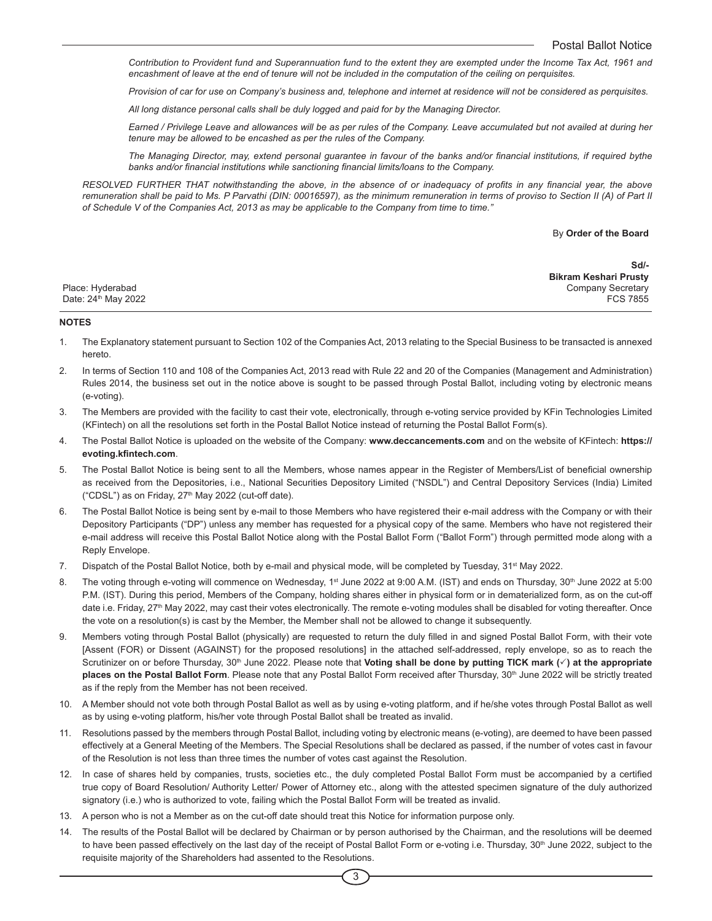*Contribution to Provident fund and Superannuation fund to the extent they are exempted under the Income Tax Act, 1961 and encashment of leave at the end of tenure will not be included in the computation of the ceiling on perquisites.*

*Provision of car for use on Company's business and, telephone and internet at residence will not be considered as perquisites.* 

*All long distance personal calls shall be duly logged and paid for by the Managing Director.* 

*Earned / Privilege Leave and allowances will be as per rules of the Company. Leave accumulated but not availed at during her tenure may be allowed to be encashed as per the rules of the Company.*

*The Managing Director, may, extend personal guarantee in favour of the banks and/or financial institutions, if required bythe banks and/or financial institutions while sanctioning financial limits/loans to the Company.*

*RESOLVED FURTHER THAT notwithstanding the above, in the absence of or inadequacy of profits in any financial year, the above remuneration shall be paid to Ms. P Parvathi (DIN: 00016597), as the minimum remuneration in terms of proviso to Section II (A) of Part II of Schedule V of the Companies Act, 2013 as may be applicable to the Company from time to time."*

#### By **Order of the Board**

| Sd/-                  |  |
|-----------------------|--|
| Bikram Keshari Prusty |  |
| Company Secretary     |  |
| FCS 7855              |  |
|                       |  |

#### **NOTES**

- 1. The Explanatory statement pursuant to Section 102 of the Companies Act, 2013 relating to the Special Business to be transacted is annexed hereto.
- 2. In terms of Section 110 and 108 of the Companies Act, 2013 read with Rule 22 and 20 of the Companies (Management and Administration) Rules 2014, the business set out in the notice above is sought to be passed through Postal Ballot, including voting by electronic means (e-voting).
- 3. The Members are provided with the facility to cast their vote, electronically, through e-voting service provided by KFin Technologies Limited (KFintech) on all the resolutions set forth in the Postal Ballot Notice instead of returning the Postal Ballot Form(s).
- 4. The Postal Ballot Notice is uploaded on the website of the Company: **www.deccancements.com** and on the website of KFintech: **https:// evoting.kfintech.com**.
- 5. The Postal Ballot Notice is being sent to all the Members, whose names appear in the Register of Members/List of beneficial ownership as received from the Depositories, i.e., National Securities Depository Limited ("NSDL") and Central Depository Services (India) Limited ("CDSL") as on Friday, 27<sup>th</sup> May 2022 (cut-off date).
- 6. The Postal Ballot Notice is being sent by e-mail to those Members who have registered their e-mail address with the Company or with their Depository Participants ("DP") unless any member has requested for a physical copy of the same. Members who have not registered their e-mail address will receive this Postal Ballot Notice along with the Postal Ballot Form ("Ballot Form") through permitted mode along with a Reply Envelope.
- 7. Dispatch of the Postal Ballot Notice, both by e-mail and physical mode, will be completed by Tuesday, 31<sup>st</sup> May 2022.
- 8. The voting through e-voting will commence on Wednesday, 1<sup>st</sup> June 2022 at 9:00 A.M. (IST) and ends on Thursday, 30<sup>th</sup> June 2022 at 5:00 P.M. (IST). During this period, Members of the Company, holding shares either in physical form or in dematerialized form, as on the cut-off date i.e. Friday, 27<sup>th</sup> May 2022, may cast their votes electronically. The remote e-voting modules shall be disabled for voting thereafter. Once the vote on a resolution(s) is cast by the Member, the Member shall not be allowed to change it subsequently.
- 9. Members voting through Postal Ballot (physically) are requested to return the duly filled in and signed Postal Ballot Form, with their vote [Assent (FOR) or Dissent (AGAINST) for the proposed resolutions] in the attached self-addressed, reply envelope, so as to reach the Scrutinizer on or before Thursday, 30<sup>th</sup> June 2022. Please note that **Voting shall be done by putting TICK mark (** $\checkmark$ **) at the appropriate** places on the Postal Ballot Form. Please note that any Postal Ballot Form received after Thursday, 30<sup>th</sup> June 2022 will be strictly treated as if the reply from the Member has not been received.
- 10. A Member should not vote both through Postal Ballot as well as by using e-voting platform, and if he/she votes through Postal Ballot as well as by using e-voting platform, his/her vote through Postal Ballot shall be treated as invalid.
- 11. Resolutions passed by the members through Postal Ballot, including voting by electronic means (e-voting), are deemed to have been passed effectively at a General Meeting of the Members. The Special Resolutions shall be declared as passed, if the number of votes cast in favour of the Resolution is not less than three times the number of votes cast against the Resolution.
- 12. In case of shares held by companies, trusts, societies etc., the duly completed Postal Ballot Form must be accompanied by a certified true copy of Board Resolution/ Authority Letter/ Power of Attorney etc., along with the attested specimen signature of the duly authorized signatory (i.e.) who is authorized to vote, failing which the Postal Ballot Form will be treated as invalid.
- 13. A person who is not a Member as on the cut-off date should treat this Notice for information purpose only.
- 14. The results of the Postal Ballot will be declared by Chairman or by person authorised by the Chairman, and the resolutions will be deemed to have been passed effectively on the last day of the receipt of Postal Ballot Form or e-voting i.e. Thursday, 30<sup>th</sup> June 2022, subject to the requisite majority of the Shareholders had assented to the Resolutions.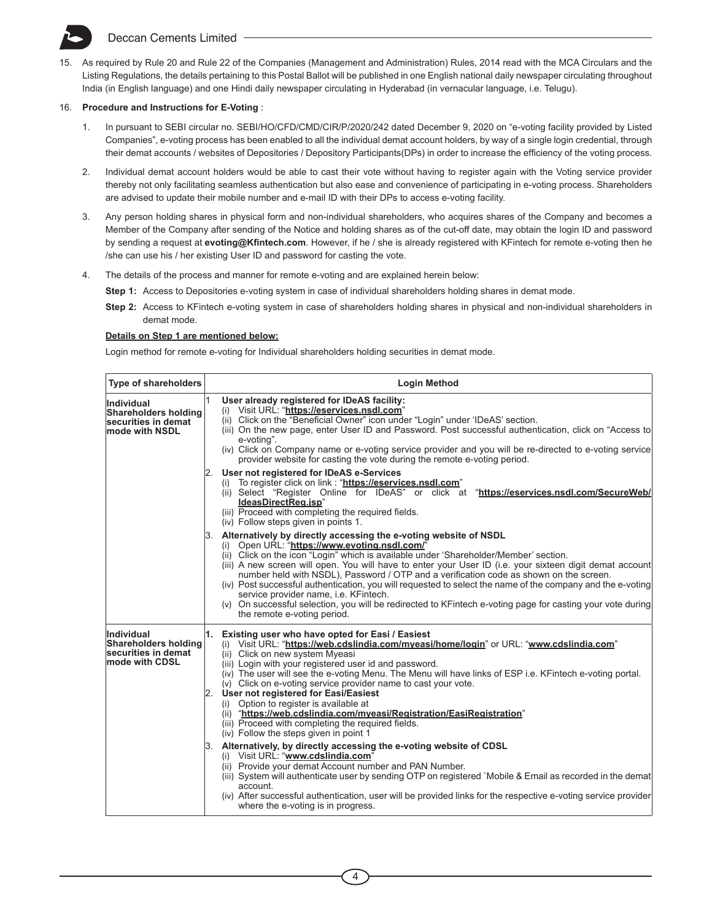15. As required by Rule 20 and Rule 22 of the Companies (Management and Administration) Rules, 2014 read with the MCA Circulars and the Listing Regulations, the details pertaining to this Postal Ballot will be published in one English national daily newspaper circulating throughout India (in English language) and one Hindi daily newspaper circulating in Hyderabad (in vernacular language, i.e. Telugu).

## 16. **Procedure and Instructions for E-Voting** :

- 1. In pursuant to SEBI circular no. SEBI/HO/CFD/CMD/CIR/P/2020/242 dated December 9, 2020 on "e-voting facility provided by Listed Companies", e-voting process has been enabled to all the individual demat account holders, by way of a single login credential, through their demat accounts / websites of Depositories / Depository Participants(DPs) in order to increase the efficiency of the voting process.
- 2. Individual demat account holders would be able to cast their vote without having to register again with the Voting service provider thereby not only facilitating seamless authentication but also ease and convenience of participating in e-voting process. Shareholders are advised to update their mobile number and e-mail ID with their DPs to access e-voting facility.
- 3. Any person holding shares in physical form and non-individual shareholders, who acquires shares of the Company and becomes a Member of the Company after sending of the Notice and holding shares as of the cut-off date, may obtain the login ID and password by sending a request at **evoting@Kfintech.com**. However, if he / she is already registered with KFintech for remote e-voting then he /she can use his / her existing User ID and password for casting the vote.
- 4. The details of the process and manner for remote e-voting and are explained herein below:

**Step 1:** Access to Depositories e-voting system in case of individual shareholders holding shares in demat mode.

**Step 2:** Access to KFintech e-voting system in case of shareholders holding shares in physical and non-individual shareholders in demat mode.

### **Details on Step 1 are mentioned below:**

Login method for remote e-voting for Individual shareholders holding securities in demat mode.

| <b>Type of shareholders</b>                                                         | <b>Login Method</b>                                                                                                                                                                                                                                                                                                                                                                                                                                                                                                                                                                                                                                                                                                                                                                                                                                                                                                                                                                                                                                                                                                                              |  |  |
|-------------------------------------------------------------------------------------|--------------------------------------------------------------------------------------------------------------------------------------------------------------------------------------------------------------------------------------------------------------------------------------------------------------------------------------------------------------------------------------------------------------------------------------------------------------------------------------------------------------------------------------------------------------------------------------------------------------------------------------------------------------------------------------------------------------------------------------------------------------------------------------------------------------------------------------------------------------------------------------------------------------------------------------------------------------------------------------------------------------------------------------------------------------------------------------------------------------------------------------------------|--|--|
| Individual<br>Shareholders holding<br>securities in demat<br>mode with NSDL         | User already registered for IDeAS facility:<br>(i) Visit URL: "https://eservices.nsdl.com"<br>(ii) Click on the "Beneficial Owner" icon under "Login" under 'IDeAS' section.<br>(iii) On the new page, enter User ID and Password. Post successful authentication, click on "Access to<br>e-voting".<br>(iv) Click on Company name or e-voting service provider and you will be re-directed to e-voting service<br>provider website for casting the vote during the remote e-voting period.                                                                                                                                                                                                                                                                                                                                                                                                                                                                                                                                                                                                                                                      |  |  |
|                                                                                     | 2. User not registered for IDeAS e-Services<br>(i) To register click on link : "https://eservices.nsdl.com"<br>(ii) Select "Register Online for IDeAS" or click at "https://eservices.nsdl.com/SecureWeb/<br>IdeasDirectReg.jsp"<br>(iii) Proceed with completing the required fields.<br>(iv) Follow steps given in points 1.                                                                                                                                                                                                                                                                                                                                                                                                                                                                                                                                                                                                                                                                                                                                                                                                                   |  |  |
|                                                                                     | 3. Alternatively by directly accessing the e-voting website of NSDL<br>(i) Open URL: "https://www.evoting.nsdl.com/"<br>(ii) Click on the icon "Login" which is available under 'Shareholder/Member' section.<br>(iii) A new screen will open. You will have to enter your User ID (i.e. your sixteen digit demat account<br>number held with NSDL). Password / OTP and a verification code as shown on the screen.<br>(iv) Post successful authentication, you will requested to select the name of the company and the e-voting<br>service provider name, i.e. KFintech.<br>(v) On successful selection, you will be redirected to KFintech e-voting page for casting your vote during<br>the remote e-voting period.                                                                                                                                                                                                                                                                                                                                                                                                                          |  |  |
| Individual<br>Shareholders holding<br>lsecurities in demat<br><b>mode with CDSL</b> | 1. Existing user who have opted for Easi / Easiest<br>(i) Visit URL: "https://web.cdslindia.com/myeasi/home/login" or URL: "www.cdslindia.com"<br>(ii) Click on new system Myeasi<br>(iii) Login with your registered user id and password.<br>(iv) The user will see the e-voting Menu. The Menu will have links of ESP i.e. KFintech e-voting portal.<br>(v) Click on e-voting service provider name to cast your vote.<br>2. User not registered for Easi/Easiest<br>(i) Option to register is available at<br>(ii) "https://web.cdslindia.com/myeasi/Registration/EasiRegistration"<br>(iii) Proceed with completing the required fields.<br>(iv) Follow the steps given in point 1<br>3. Alternatively, by directly accessing the e-voting website of CDSL<br>(i) Visit URL: "www.cdslindia.com"<br>(ii) Provide your demat Account number and PAN Number.<br>(iii) System will authenticate user by sending OTP on registered `Mobile & Email as recorded in the demat<br>account.<br>(iv) After successful authentication, user will be provided links for the respective e-voting service provider<br>where the e-voting is in progress. |  |  |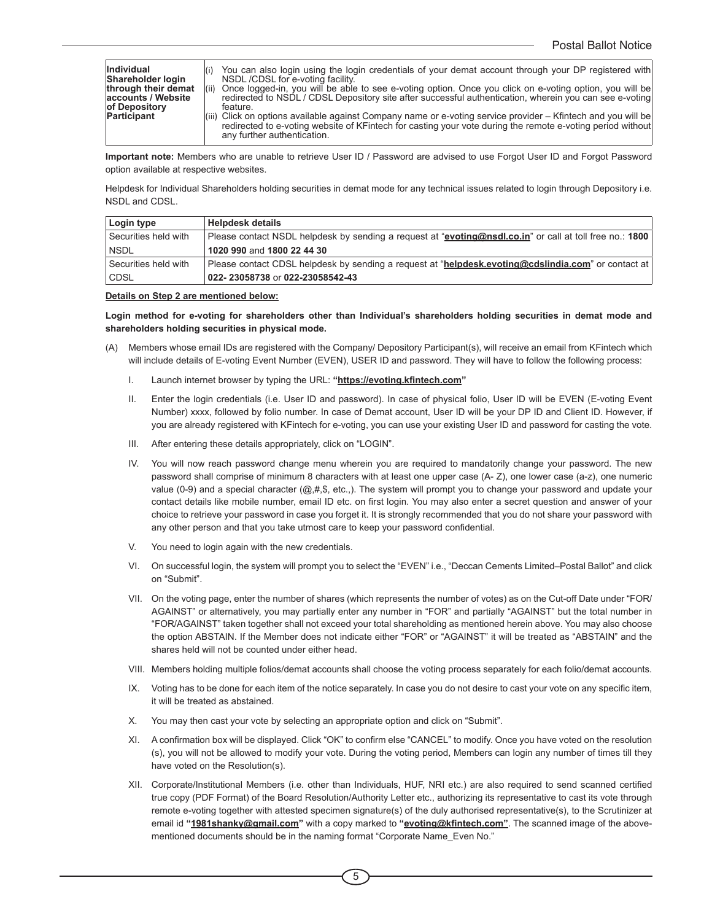| <i><b>Individual</b></i><br>Shareholder login<br>through their demat<br>accounts / Website<br>of Depository<br>Participant | You can also login using the login credentials of your demat account through your DP registered with<br>NSDL/CDSL for e-voting facility.<br>Once logged-in, you will be able to see e-voting option. Once you click on e-voting option, you will be<br>(iii)<br>redirected to NSDL / CDSL Depository site after successful authentication, wherein you can see e-voting<br>feature.<br>(iii) Click on options available against Company name or e-voting service provider – Kfintech and you will be<br>redirected to e-voting website of KFintech for casting your vote during the remote e-voting period without<br>any further authentication. |
|----------------------------------------------------------------------------------------------------------------------------|---------------------------------------------------------------------------------------------------------------------------------------------------------------------------------------------------------------------------------------------------------------------------------------------------------------------------------------------------------------------------------------------------------------------------------------------------------------------------------------------------------------------------------------------------------------------------------------------------------------------------------------------------|
|----------------------------------------------------------------------------------------------------------------------------|---------------------------------------------------------------------------------------------------------------------------------------------------------------------------------------------------------------------------------------------------------------------------------------------------------------------------------------------------------------------------------------------------------------------------------------------------------------------------------------------------------------------------------------------------------------------------------------------------------------------------------------------------|

**Important note:** Members who are unable to retrieve User ID / Password are advised to use Forgot User ID and Forgot Password option available at respective websites.

Helpdesk for Individual Shareholders holding securities in demat mode for any technical issues related to login through Depository i.e. NSDL and CDSL.

| Login type                        | <b>Helpdesk details</b>                                                                                  |
|-----------------------------------|----------------------------------------------------------------------------------------------------------|
| <sup>'</sup> Securities held with | Please contact NSDL helpdesk by sending a request at "evoting@nsdl.co.in" or call at toll free no.: 1800 |
| <b>NSDL</b>                       | 1020 990 and 1800 22 44 30                                                                               |
| Securities held with              | Please contact CDSL helpdesk by sending a request at "helpdesk.evoting@cdslindia.com" or contact at      |
| CDSL                              | 022-23058738 or 022-23058542-43                                                                          |

### **Details on Step 2 are mentioned below:**

**Login method for e-voting for shareholders other than Individual's shareholders holding securities in demat mode and shareholders holding securities in physical mode.**

- (A) Members whose email IDs are registered with the Company/ Depository Participant(s), will receive an email from KFintech which will include details of E-voting Event Number (EVEN), USER ID and password. They will have to follow the following process:
	- I. Launch internet browser by typing the URL: **"https://evoting.kfintech.com"**
	- II. Enter the login credentials (i.e. User ID and password). In case of physical folio, User ID will be EVEN (E-voting Event Number) xxxx, followed by folio number. In case of Demat account, User ID will be your DP ID and Client ID. However, if you are already registered with KFintech for e-voting, you can use your existing User ID and password for casting the vote.
	- III. After entering these details appropriately, click on "LOGIN".
	- IV. You will now reach password change menu wherein you are required to mandatorily change your password. The new password shall comprise of minimum 8 characters with at least one upper case (A- Z), one lower case (a-z), one numeric value (0-9) and a special character (@,#,\$, etc.,). The system will prompt you to change your password and update your contact details like mobile number, email ID etc. on first login. You may also enter a secret question and answer of your choice to retrieve your password in case you forget it. It is strongly recommended that you do not share your password with any other person and that you take utmost care to keep your password confidential.
	- V. You need to login again with the new credentials.
	- VI. On successful login, the system will prompt you to select the "EVEN" i.e., "Deccan Cements Limited–Postal Ballot" and click on "Submit".
	- VII. On the voting page, enter the number of shares (which represents the number of votes) as on the Cut-off Date under "FOR/ AGAINST" or alternatively, you may partially enter any number in "FOR" and partially "AGAINST" but the total number in "FOR/AGAINST" taken together shall not exceed your total shareholding as mentioned herein above. You may also choose the option ABSTAIN. If the Member does not indicate either "FOR" or "AGAINST" it will be treated as "ABSTAIN" and the shares held will not be counted under either head.
	- VIII. Members holding multiple folios/demat accounts shall choose the voting process separately for each folio/demat accounts.
	- IX. Voting has to be done for each item of the notice separately. In case you do not desire to cast your vote on any specific item, it will be treated as abstained.
	- X. You may then cast your vote by selecting an appropriate option and click on "Submit".
	- XI. A confirmation box will be displayed. Click "OK" to confirm else "CANCEL" to modify. Once you have voted on the resolution (s), you will not be allowed to modify your vote. During the voting period, Members can login any number of times till they have voted on the Resolution(s).
	- XII. Corporate/Institutional Members (i.e. other than Individuals, HUF, NRI etc.) are also required to send scanned certified true copy (PDF Format) of the Board Resolution/Authority Letter etc., authorizing its representative to cast its vote through remote e-voting together with attested specimen signature(s) of the duly authorised representative(s), to the Scrutinizer at email id **"1981shanky@gmail.com"** with a copy marked to **"evoting@kfintech.com"**. The scanned image of the abovementioned documents should be in the naming format "Corporate Name\_Even No."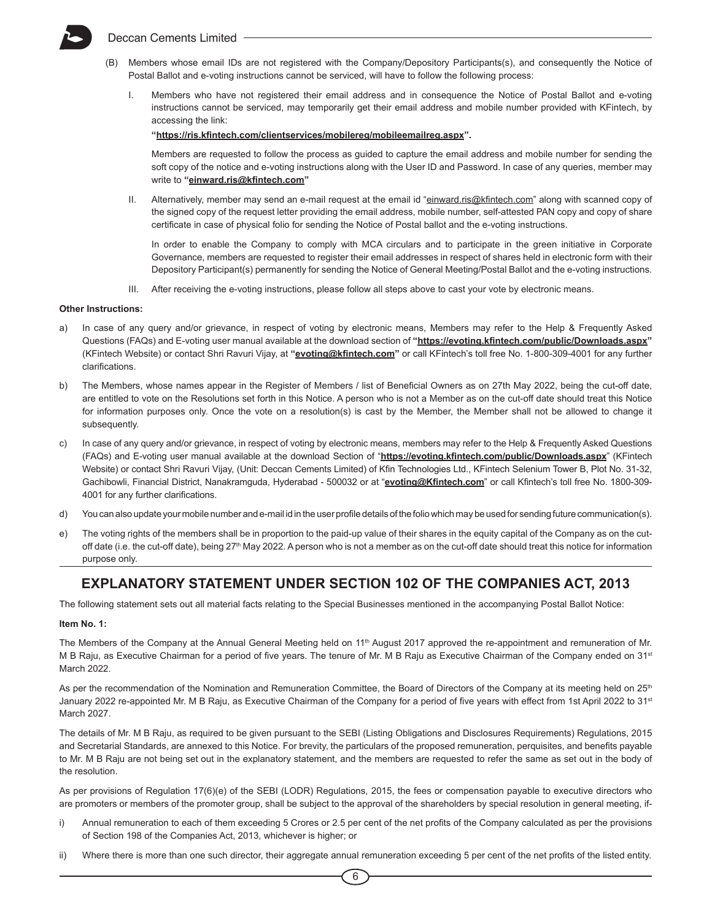- (B) Members whose email IDs are not registered with the Company/Depository Participants(s), and consequently the Notice of Postal Ballot and e-voting instructions cannot be serviced, will have to follow the following process:
	- I. Members who have not registered their email address and in consequence the Notice of Postal Ballot and e-voting instructions cannot be serviced, may temporarily get their email address and mobile number provided with KFintech, by accessing the link:

**"https://ris.kfintech.com/clientservices/mobilereg/mobileemailreg.aspx".** 

Members are requested to follow the process as guided to capture the email address and mobile number for sending the soft copy of the notice and e-voting instructions along with the User ID and Password. In case of any queries, member may write to **"einward.ris@kfintech.com"**

II. Alternatively, member may send an e-mail request at the email id "einward.ris@kfintech.com" along with scanned copy of the signed copy of the request letter providing the email address, mobile number, self-attested PAN copy and copy of share certificate in case of physical folio for sending the Notice of Postal ballot and the e-voting instructions.

In order to enable the Company to comply with MCA circulars and to participate in the green initiative in Corporate Governance, members are requested to register their email addresses in respect of shares held in electronic form with their Depository Participant(s) permanently for sending the Notice of General Meeting/Postal Ballot and the e-voting instructions.

III. After receiving the e-voting instructions, please follow all steps above to cast your vote by electronic means.

### **Other Instructions:**

- a) In case of any query and/or grievance, in respect of voting by electronic means, Members may refer to the Help & Frequently Asked Questions (FAQs) and E-voting user manual available at the download section of **"https://evoting.kfintech.com/public/Downloads.aspx"**  (KFintech Website) or contact Shri Ravuri Vijay, at **"evoting@kfintech.com"** or call KFintech's toll free No. 1-800-309-4001 for any further clarifications.
- b) The Members, whose names appear in the Register of Members / list of Beneficial Owners as on 27th May 2022, being the cut-off date, are entitled to vote on the Resolutions set forth in this Notice. A person who is not a Member as on the cut-off date should treat this Notice for information purposes only. Once the vote on a resolution(s) is cast by the Member, the Member shall not be allowed to change it subsequently.
- c) In case of any query and/or grievance, in respect of voting by electronic means, members may refer to the Help & Frequently Asked Questions (FAQs) and E-voting user manual available at the download Section of "**https://evoting.kfintech.com/public/Downloads.aspx**" (KFintech Website) or contact Shri Ravuri Vijay, (Unit: Deccan Cements Limited) of Kfin Technologies Ltd., KFintech Selenium Tower B, Plot No. 31-32, Gachibowli, Financial District, Nanakramguda, Hyderabad - 500032 or at "**evoting@Kfintech.com**" or call Kfintech's toll free No. 1800-309- 4001 for any further clarifications.
- d) You can also update your mobile number and e-mail id in the user profile details of the folio which may be used for sending future communication(s).
- e) The voting rights of the members shall be in proportion to the paid-up value of their shares in the equity capital of the Company as on the cutoff date (i.e. the cut-off date), being 27<sup>th</sup> May 2022. A person who is not a member as on the cut-off date should treat this notice for information purpose only.

## **EXPLANATORY STATEMENT UNDER SECTION 102 OF THE COMPANIES ACT, 2013**

The following statement sets out all material facts relating to the Special Businesses mentioned in the accompanying Postal Ballot Notice:

#### **Item No. 1:**

The Members of the Company at the Annual General Meeting held on 11<sup>th</sup> August 2017 approved the re-appointment and remuneration of Mr. M B Raju, as Executive Chairman for a period of five years. The tenure of Mr. M B Raju as Executive Chairman of the Company ended on 31<sup>st</sup> March 2022.

As per the recommendation of the Nomination and Remuneration Committee, the Board of Directors of the Company at its meeting held on 25<sup>th</sup> January 2022 re-appointed Mr. M B Raju, as Executive Chairman of the Company for a period of five years with effect from 1st April 2022 to 31<sup>st</sup> March 2027.

The details of Mr. M B Raju, as required to be given pursuant to the SEBI (Listing Obligations and Disclosures Requirements) Regulations, 2015 and Secretarial Standards, are annexed to this Notice. For brevity, the particulars of the proposed remuneration, perquisites, and benefits payable to Mr. M B Raju are not being set out in the explanatory statement, and the members are requested to refer the same as set out in the body of the resolution.

As per provisions of Regulation 17(6)(e) of the SEBI (LODR) Regulations, 2015, the fees or compensation payable to executive directors who are promoters or members of the promoter group, shall be subject to the approval of the shareholders by special resolution in general meeting, if-

- i) Annual remuneration to each of them exceeding 5 Crores or 2.5 per cent of the net profits of the Company calculated as per the provisions of Section 198 of the Companies Act, 2013, whichever is higher; or
- ii) Where there is more than one such director, their aggregate annual remuneration exceeding 5 per cent of the net profits of the listed entity.

6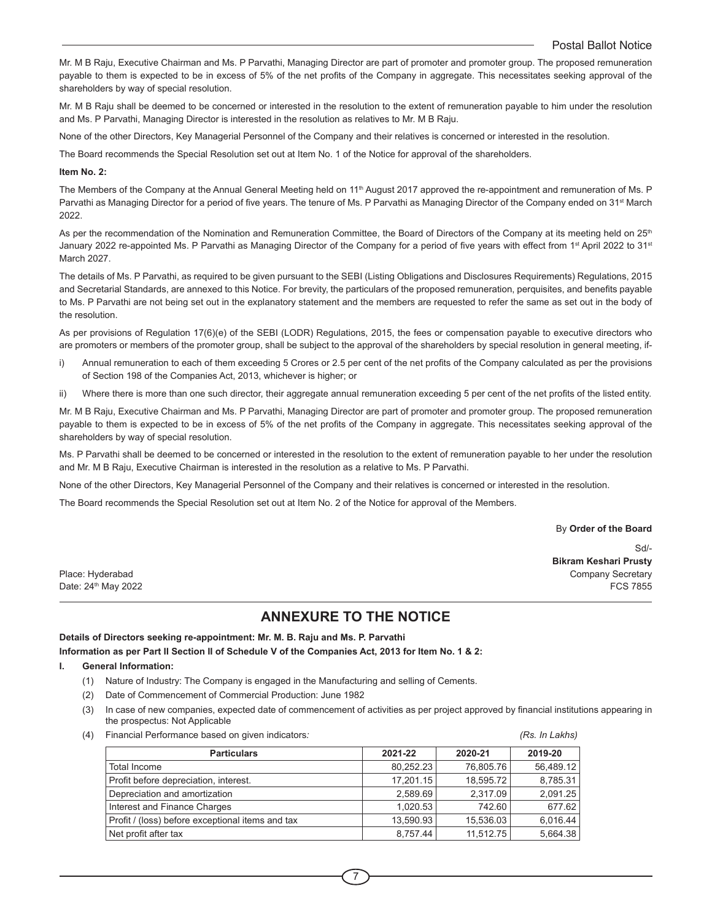Mr. M B Raju, Executive Chairman and Ms. P Parvathi, Managing Director are part of promoter and promoter group. The proposed remuneration payable to them is expected to be in excess of 5% of the net profits of the Company in aggregate. This necessitates seeking approval of the shareholders by way of special resolution.

Mr. M B Raju shall be deemed to be concerned or interested in the resolution to the extent of remuneration payable to him under the resolution and Ms. P Parvathi, Managing Director is interested in the resolution as relatives to Mr. M B Raju.

None of the other Directors, Key Managerial Personnel of the Company and their relatives is concerned or interested in the resolution.

The Board recommends the Special Resolution set out at Item No. 1 of the Notice for approval of the shareholders.

### **Item No. 2:**

The Members of the Company at the Annual General Meeting held on 11<sup>th</sup> August 2017 approved the re-appointment and remuneration of Ms. P Parvathi as Managing Director for a period of five years. The tenure of Ms. P Parvathi as Managing Director of the Company ended on 31<sup>st</sup> March 2022.

As per the recommendation of the Nomination and Remuneration Committee, the Board of Directors of the Company at its meeting held on 25<sup>th</sup> January 2022 re-appointed Ms. P Parvathi as Managing Director of the Company for a period of five years with effect from 1<sup>st</sup> April 2022 to 31<sup>st</sup> March 2027.

The details of Ms. P Parvathi, as required to be given pursuant to the SEBI (Listing Obligations and Disclosures Requirements) Regulations, 2015 and Secretarial Standards, are annexed to this Notice. For brevity, the particulars of the proposed remuneration, perquisites, and benefits payable to Ms. P Parvathi are not being set out in the explanatory statement and the members are requested to refer the same as set out in the body of the resolution.

As per provisions of Regulation 17(6)(e) of the SEBI (LODR) Regulations, 2015, the fees or compensation payable to executive directors who are promoters or members of the promoter group, shall be subject to the approval of the shareholders by special resolution in general meeting, if-

- i) Annual remuneration to each of them exceeding 5 Crores or 2.5 per cent of the net profits of the Company calculated as per the provisions of Section 198 of the Companies Act, 2013, whichever is higher; or
- ii) Where there is more than one such director, their aggregate annual remuneration exceeding 5 per cent of the net profits of the listed entity.

Mr. M B Raju, Executive Chairman and Ms. P Parvathi, Managing Director are part of promoter and promoter group. The proposed remuneration payable to them is expected to be in excess of 5% of the net profits of the Company in aggregate. This necessitates seeking approval of the shareholders by way of special resolution.

Ms. P Parvathi shall be deemed to be concerned or interested in the resolution to the extent of remuneration payable to her under the resolution and Mr. M B Raju, Executive Chairman is interested in the resolution as a relative to Ms. P Parvathi.

None of the other Directors, Key Managerial Personnel of the Company and their relatives is concerned or interested in the resolution.

The Board recommends the Special Resolution set out at Item No. 2 of the Notice for approval of the Members.

### By **Order of the Board**

Sd/- **Bikram Keshari Prusty** Place: Hyderabad Company Secretary Date:  $24^{\text{th}}$  May 2022 FCS 7855

## **ANNEXURE TO THE NOTICE**

**Details of Directors seeking re-appointment: Mr. M. B. Raju and Ms. P. Parvathi**

**Information as per Part II Section II of Schedule V of the Companies Act, 2013 for Item No. 1 & 2:**

- **I. General Information:**
	- (1) Nature of Industry: The Company is engaged in the Manufacturing and selling of Cements.
	- (2) Date of Commencement of Commercial Production: June 1982
	- (3) In case of new companies, expected date of commencement of activities as per project approved by financial institutions appearing in the prospectus: Not Applicable
	- (4) Financial Performance based on given indicators*: (Rs. In Lakhs)*

| <b>Particulars</b>                               | 2021-22   | 2020-21   | 2019-20   |
|--------------------------------------------------|-----------|-----------|-----------|
| Total Income                                     | 80.252.23 | 76,805.76 | 56.489.12 |
| Profit before depreciation, interest.            | 17.201.15 | 18.595.72 | 8,785.31  |
| Depreciation and amortization                    | 2,589.69  | 2,317.09  | 2,091.25  |
| Interest and Finance Charges                     | 1.020.53  | 742.60    | 677.62    |
| Profit / (loss) before exceptional items and tax | 13,590.93 | 15,536.03 | 6,016.44  |
| Net profit after tax                             | 8.757.44  | 11.512.75 | 5.664.38  |